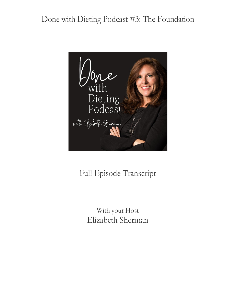

# Full Episode Transcript

With your Host Elizabeth Sherman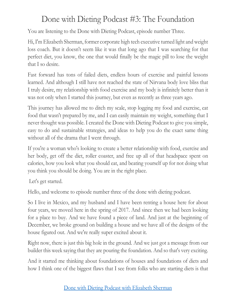You are listening to the Done with Dieting Podcast, episode number Three.

Hi, I'm Elizabeth Sherman, former corporate high tech executive turned light and weight loss coach. But it doesn't seem like it was that long ago that I was searching for that perfect diet, you know, the one that would finally be the magic pill to lose the weight that I so desire.

Fast forward has tons of failed diets, endless hours of exercise and painful lessons learned. And although I still have not reached the state of Nirvana body love bliss that I truly desire, my relationship with food exercise and my body is infinitely better than it was not only when I started this journey, but even as recently as three years ago.

This journey has allowed me to ditch my scale, stop logging my food and exercise, eat food that wasn't prepared by me, and I can easily maintain my weight, something that I never thought was possible. I created the Done with Dieting Podcast to give you simple, easy to do and sustainable strategies, and ideas to help you do the exact same thing without all of the drama that I went through.

If you're a woman who's looking to create a better relationship with food, exercise and her body, get off the diet, roller coaster, and free up all of that headspace spent on calories, how you look what you should eat, and beating yourself up for not doing what you think you should be doing. You are in the right place.

Let's get started.

Hello, and welcome to episode number three of the done with dieting podcast.

So I live in Mexico, and my husband and I have been renting a house here for about four years, we moved here in the spring of 2017. And since then we had been looking for a place to buy. And we have found a piece of land. And just at the beginning of December, we broke ground on building a house and we have all of the designs of the house figured out. And we're really super excited about it.

Right now, there is just this big hole in the ground. And we just got a message from our builder this week saying that they are pouring the foundation. And so that's very exciting.

And it started me thinking about foundations of houses and foundations of diets and how I think one of the biggest flaws that I see from folks who are starting diets is that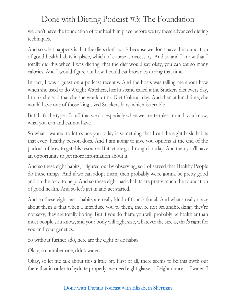we don't have the foundation of our health in place before we try these advanced dieting techniques.

And so what happens is that the diets don't work because we don't have the foundation of good health habits in place, which of course is necessary. And so and I know that I totally did this when I was dieting, that the diet would say okay, you can eat so many calories. And I would figure out how I could eat brownies during that time.

In fact, I was a guest on a podcast recently. And the hosts was telling me about how when she used to do Weight Watchers, her husband called it the Snickers diet every day, I think she said that she she would drink Diet Coke all day. And then at lunchtime, she would have one of those king sized Snickers bars, which is terrible.

But that's the type of stuff that we do, especially when we create rules around, you know, what you can and cannot have.

So what I wanted to introduce you today is something that I call the eight basic habits that every healthy person does. And I am going to give you options at the end of the podcast of how to get this resource. But let me go through it today. And then you'll have an opportunity to get more information about it.

And so these eight habits, I figured out by observing, so I observed that Healthy People do these things. And if we can adopt them, then probably we're gonna be pretty good and on the road to help. And so these eight basic habits are pretty much the foundation of good health. And so let's get in and get started.

And so these eight basic habits are really kind of foundational. And what's really crazy about them is that when I introduce you to them, they're not groundbreaking, they're not sexy, they are totally boring. But if you do them, you will probably be healthier than most people you know, and your body will right size, whatever the size is, that's right for you and your genetics.

So without further ado, here are the eight basic habits.

Okay, so number one, drink water.

Okay, so let me talk about this a little bit. First of all, there seems to be this myth out there that in order to hydrate properly, we need eight glasses of eight ounces of water. I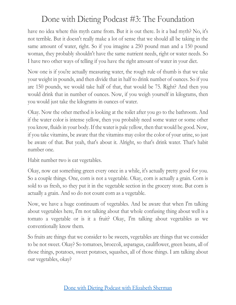have no idea where this myth came from. But it is out there. Is it a bad myth? No, it's not terrible. But it doesn't really make a lot of sense that we should all be taking in the same amount of water, right. So if you imagine a 250 pound man and a 150 pound woman, they probably shouldn't have the same nutrient needs, right or water needs. So I have two other ways of telling if you have the right amount of water in your diet.

Now one is if you're actually measuring water, the rough rule of thumb is that we take your weight in pounds, and then divide that in half to drink number of ounces. So if you are 150 pounds, we would take half of that, that would be 75. Right? And then you would drink that in number of ounces. Now, if you weigh yourself in kilograms, then you would just take the kilograms in ounces of water.

Okay. Now the other method is looking at the toilet after you go to the bathroom. And if the water color is intense yellow, then you probably need some water or some other you know, fluids in your body. If the water is pale yellow, then that would be good. Now, if you take vitamins, be aware that the vitamins may color the color of your urine, so just be aware of that. But yeah, that's about it. Alright, so that's drink water. That's habit number one.

Habit number two is eat vegetables.

Okay, now eat something green every once in a while, it's actually pretty good for you. So a couple things. One, corn is not a vegetable. Okay, corn is actually a grain. Corn is sold to us fresh, so they put it in the vegetable section in the grocery store. But corn is actually a grain. And so do not count corn as a vegetable.

Now, we have a huge continuum of vegetables. And be aware that when I'm talking about vegetables here, I'm not talking about that whole confusing thing about well is a tomato a vegetable or is it a fruit? Okay, I'm talking about vegetables as we conventionally know them.

So fruits are things that we consider to be sweets, vegetables are things that we consider to be not sweet. Okay? So tomatoes, broccoli, asparagus, cauliflower, green beans, all of those things, potatoes, sweet potatoes, squashes, all of those things. I am talking about our vegetables, okay?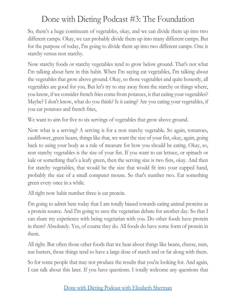So, there's a huge continuum of vegetables, okay, and we can divide them up into two different camps. Okay, we can probably divide them up into many different camps. But for the purpose of today, I'm going to divide them up into two different camps. One is starchy versus non starchy.

Now starchy foods or starchy vegetables tend to grow below ground. That's not what I'm talking about here in this habit. When I'm saying eat vegetables, I'm talking about the vegetables that grow above ground. Okay, so those vegetables and quite honestly, all vegetables are good for you. But let's try to stay away from the starchy or things where, you know, if we consider french fries come from potatoes, is that eating your vegetables? Maybe? I don't know, what do you think? Is it eating? Are you eating your vegetables, if you eat potatoes and french fries,

We want to aim for five to six servings of vegetables that grow above ground.

Now what is a serving? A serving is for a non starchy vegetable. So again, tomatoes, cauliflower, green beans, things like that, we want the size of your fist, okay, again, going back to using your body as a rule of measure for how you should be eating. Okay, so, non starchy vegetables is the size of your fist. If you want to eat lettuce, or spinach or kale or something that's a leafy green, then the serving size is two fists, okay. And then for starchy vegetables, that would be the size that would fit into your cupped hand, probably the size of a small computer mouse. So that's number two. Eat something green every once in a while.

All right now habit number three is eat protein.

I'm going to admit here today that I am totally biased towards eating animal proteins as a protein source. And I'm going to save the vegetarian debate for another day. So that I can share my experience with being vegetarian with you. Do other foods have protein in them? Absolutely. Yes, of course they do. All foods do have some form of protein in them.

All right. But often those other foods that we hear about things like beans, cheese, nuts, nut butters, those things tend to have a large dose of starch and or fat along with them.

So for some people that may not produce the results that you're looking for. And again, I can talk about this later. If you have questions. I totally welcome any questions that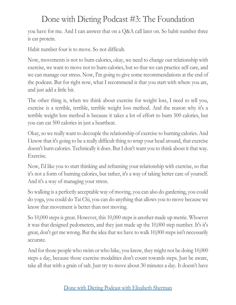you have for me. And I can answer that on a Q&A call later on. So habit number three is eat protein.

Habit number four is to move. So not difficult.

Now, movements is not to burn calories, okay, we need to change our relationship with exercise, we want to move not to burn calories, but so that we can practice self care, and we can manage our stress. Now, I'm going to give some recommendations at the end of the podcast. But for right now, what I recommend is that you start with where you are, and just add a little bit.

The other thing is, when we think about exercise for weight loss, I need to tell you, exercise is a terrible, terrible, terrible weight loss method. And the reason why it's a terrible weight loss method is because it takes a lot of effort to burn 500 calories, but you can eat 500 calories in just a heartbeat.

Okay, so we really want to decouple the relationship of exercise to burning calories. And I know that it's going to be a really difficult thing to wrap your head around, that exercise doesn't burn calories. Technically it does. But I don't want you to think about it that way. Exercise.

Now, I'd like you to start thinking and reframing your relationship with exercise, so that it's not a form of burning calories, but rather, it's a way of taking better care of yourself. And it's a way of managing your stress.

So walking is a perfectly acceptable way of moving, you can also do gardening, you could do yoga, you could do Tai Chi, you can do anything that allows you to move because we know that movement is better than not moving.

So 10,000 steps is great. However, this 10,000 steps is another made up metric. Whoever it was that designed pedometers, and they just made up the 10,000 step number. It's it's great, don't get me wrong. But the idea that we have to walk 10,000 steps isn't necessarily accurate.

And for those people who swim or who bike, you know, they might not be doing 10,000 steps a day, because those exercise modalities don't count towards steps. Just be aware, take all that with a grain of salt. Just try to move about 30 minutes a day. It doesn't have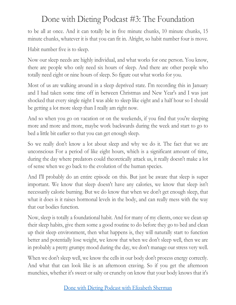to be all at once. And it can totally be in five minute chunks, 10 minute chunks, 15 minute chunks, whatever it is that you can fit in. Alright, so habit number four is move.

Habit number five is to sleep.

Now our sleep needs are highly individual, and what works for one person. You know, there are people who only need six hours of sleep. And there are other people who totally need eight or nine hours of sleep. So figure out what works for you.

Most of us are walking around in a sleep deprived state. I'm recording this in January and I had taken some time off in between Christmas and New Year's and I was just shocked that every single night I was able to sleep like eight and a half hour so I should be getting a lot more sleep than I really am right now.

And so when you go on vacation or on the weekends, if you find that you're sleeping more and more and more, maybe work backwards during the week and start to go to bed a little bit earlier so that you can get enough sleep.

So we really don't know a lot about sleep and why we do it. The fact that we are unconscious For a period of like eight hours, which is a significant amount of time, during the day where predators could theoretically attack us, it really doesn't make a lot of sense when we go back to the evolution of the human species.

And I'll probably do an entire episode on this. But just be aware that sleep is super important. We know that sleep doesn't have any calories, we know that sleep isn't necessarily calorie burning. But we do know that when we don't get enough sleep, that what it does is it raises hormonal levels in the body, and can really mess with the way that our bodies function.

Now, sleep is totally a foundational habit. And for many of my clients, once we clean up their sleep habits, give them some a good routine to do before they go to bed and clean up their sleep environment, then what happens is, they will naturally start to function better and potentially lose weight, we know that when we don't sleep well, then we are in probably a pretty grumpy mood during the day, we don't manage our stress very well.

When we don't sleep well, we know the cells in our body don't process energy correctly. And what that can look like is an afternoon craving. So if you get the afternoon munchies, whether it's sweet or salty or crunchy on know that your body knows that it's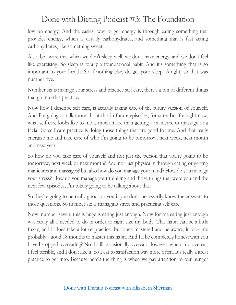low on energy. And the easiest way to get energy is through eating something that provides energy, which is usually carbohydrates, and something that is fast acting carbohydrates, like something sweet.

Also, be aware that when we don't sleep well, we don't have energy, and we don't feel like exercising. So sleep is totally a foundational habit. And it's something that is so important to your health. So if nothing else, do get your sleep. Alright, so that was number five.

Number six is manage your stress and practice self care, there's a ton of different things that go into this practice.

Now how I describe self care, is actually taking care of the future version of yourself. And I'm going to talk more about this in future episodes, for sure. But for right now, what self care looks like to me is much more than getting a manicure or massage or a facial. So self care practice is doing those things that are good for me. And that really energize me and take care of who I'm going to be tomorrow, next week, next month and next year.

So how do you take care of yourself and not just the person that you're going to be tomorrow, next week or next month? And not just physically through eating or getting manicures and massages? but also how do you manage your mind? How do you manage your stress? How do you manage your thinking and those things that were you and the next few episodes, I'm totally going to be talking about this.

So they're going to be really good for you if you don't necessarily know the answers to those questions. So number six is managing stress and practicing self care.

Now, number seven, this is huge is eating just enough. Now for me eating just enough was really all I needed to do in order to right size my body. This habit can be a little fuzzy, and it does take a lot of practice. But once mastered and be aware, it took me probably a good 18 months to master this habit. And I'll be completely honest with you have I stopped overeating? No, I still occasionally overeat. However, when I do overeat, I feel terrible, and I don't like it. So I eat to satisfaction way more often. It's really a great practice to get into. Because here's the thing is when we pay attention to our hunger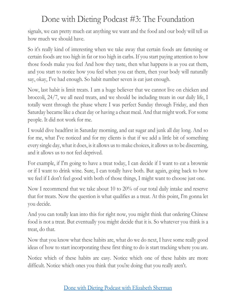signals, we can pretty much eat anything we want and the food and our body will tell us how much we should have.

So it's really kind of interesting when we take away that certain foods are fattening or certain foods are too high in fat or too high in carbs. If you start paying attention to how those foods make you feel And how they taste, then what happens is as you eat them, and you start to notice how you feel when you eat them, then your body will naturally say, okay, I've had enough. So habit number seven is eat just enough.

Now, last habit is limit treats. I am a huge believer that we cannot live on chicken and broccoli, 24/7, we all need treats, and we should be including treats in our daily life, I totally went through the phase where I was perfect Sunday through Friday, and then Saturday became like a cheat day or having a cheat meal. And that might work. For some people. It did not work for me.

I would dive headfirst in Saturday morning, and eat sugar and junk all day long. And so for me, what I've noticed and for my clients is that if we add a little bit of something every single day, what it does, is it allows us to make choices, it allows us to be discerning, and it allows us to not feel deprived.

For example, if I'm going to have a treat today, I can decide if I want to eat a brownie or if I want to drink wine. Sure, I can totally have both. But again, going back to how we feel if I don't feel good with both of those things, I might want to choose just one.

Now I recommend that we take about 10 to 20% of our total daily intake and reserve that for treats. Now the question is what qualifies as a treat. At this point, I'm gonna let you decide.

And you can totally lean into this for right now, you might think that ordering Chinese food is not a treat. But eventually you might decide that it is. So whatever you think is a treat, do that.

Now that you know what these habits are, what do we do next, I have some really good ideas of how to start incorporating these first thing to do is start tracking where you are.

Notice which of these habits are easy. Notice which one of these habits are more difficult. Notice which ones you think that you're doing that you really aren't.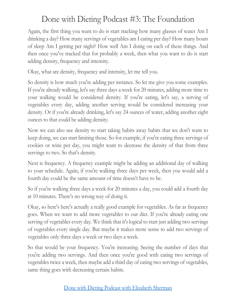Again, the first thing you want to do is start tracking how many glasses of water Am I drinking a day? How many servings of vegetables am I eating per day? How many hours of sleep Am I getting per night? How well Am I doing on each of these things. And then once you've tracked that for probably a week, then what you want to do is start adding density, frequency and intensity.

Okay, what are density, frequency and intensity, let me tell you.

So density is how much you're adding per instance. So let me give you some examples. If you're already walking, let's say three days a week for 20 minutes, adding more time to your walking would be considered density. If you're eating, let's say, a serving of vegetables every day, adding another serving would be considered increasing your density. Or if you're already drinking, let's say 24 ounces of water, adding another eight ounces to that could be adding density.

Now we can also use density to start taking habits away habits that we don't want to keep doing, we can start limiting those. So for example, if you're eating three servings of cookies or wine per day, you might want to decrease the density of that from three servings to two. So that's density.

Next is frequency. A frequency example might be adding an additional day of walking to your schedule. Again, if you're walking three days per week, then you would add a fourth day could be the same amount of time doesn't have to be.

So if you're walking three days a week for 20 minutes a day, you could add a fourth day at 10 minutes. There's no wrong way of doing it.

Okay, so here's here's actually a really good example for vegetables. As far as frequency goes. When we want to add more vegetables to our diet. If you're already eating one serving of vegetables every day. We think that it's logical to start just adding two servings of vegetables every single day. But maybe it makes more sense to add two servings of vegetables only three days a week or two days a week.

So that would be your frequency. You're increasing. Seeing the number of days that you're adding two servings. And then once you're good with eating two servings of vegetables twice a week, then maybe add a third day of eating two servings of vegetables, same thing goes with decreasing certain habits.